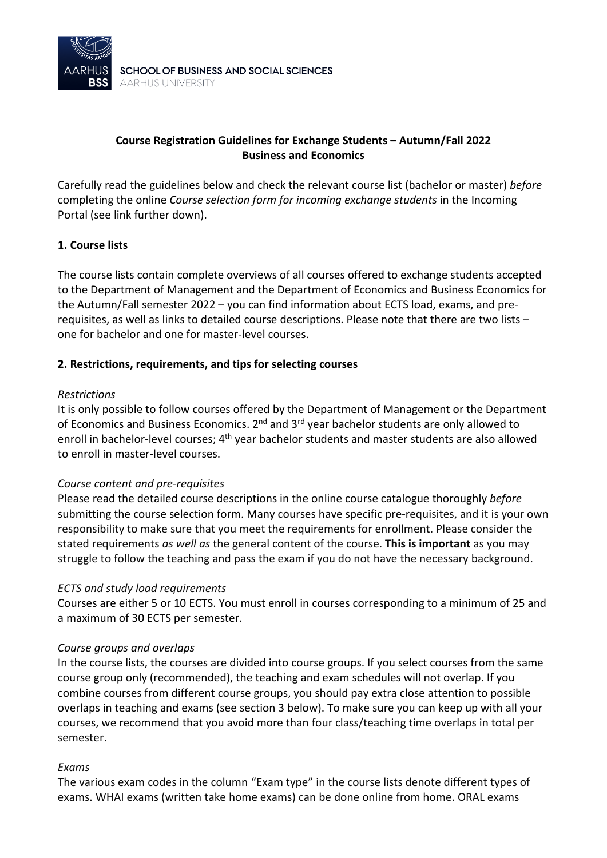

## **Course Registration Guidelines for Exchange Students – Autumn/Fall 2022 Business and Economics**

Carefully read the guidelines below and check the relevant course list (bachelor or master) *before* completing the online *Course selection form for incoming exchange students* in the Incoming Portal (see link further down).

## **1. Course lists**

The course lists contain complete overviews of all courses offered to exchange students accepted to the Department of Management and the Department of Economics and Business Economics for the Autumn/Fall semester 2022 – you can find information about ECTS load, exams, and prerequisites, as well as links to detailed course descriptions. Please note that there are two lists – one for bachelor and one for master-level courses.

### **2. Restrictions, requirements, and tips for selecting courses**

#### *Restrictions*

It is only possible to follow courses offered by the Department of Management or the Department of Economics and Business Economics. 2<sup>nd</sup> and 3<sup>rd</sup> year bachelor students are only allowed to enroll in bachelor-level courses; 4<sup>th</sup> year bachelor students and master students are also allowed to enroll in master-level courses.

#### *Course content and pre-requisites*

Please read the detailed course descriptions in the online course catalogue thoroughly *before* submitting the course selection form. Many courses have specific pre-requisites, and it is your own responsibility to make sure that you meet the requirements for enrollment. Please consider the stated requirements *as well as* the general content of the course. **This is important** as you may struggle to follow the teaching and pass the exam if you do not have the necessary background.

#### *ECTS and study load requirements*

Courses are either 5 or 10 ECTS. You must enroll in courses corresponding to a minimum of 25 and a maximum of 30 ECTS per semester.

#### *Course groups and overlaps*

In the course lists, the courses are divided into course groups. If you select courses from the same course group only (recommended), the teaching and exam schedules will not overlap. If you combine courses from different course groups, you should pay extra close attention to possible overlaps in teaching and exams (see section 3 below). To make sure you can keep up with all your courses, we recommend that you avoid more than four class/teaching time overlaps in total per semester.

#### *Exams*

The various exam codes in the column "Exam type" in the course lists denote different types of exams. WHAI exams (written take home exams) can be done online from home. ORAL exams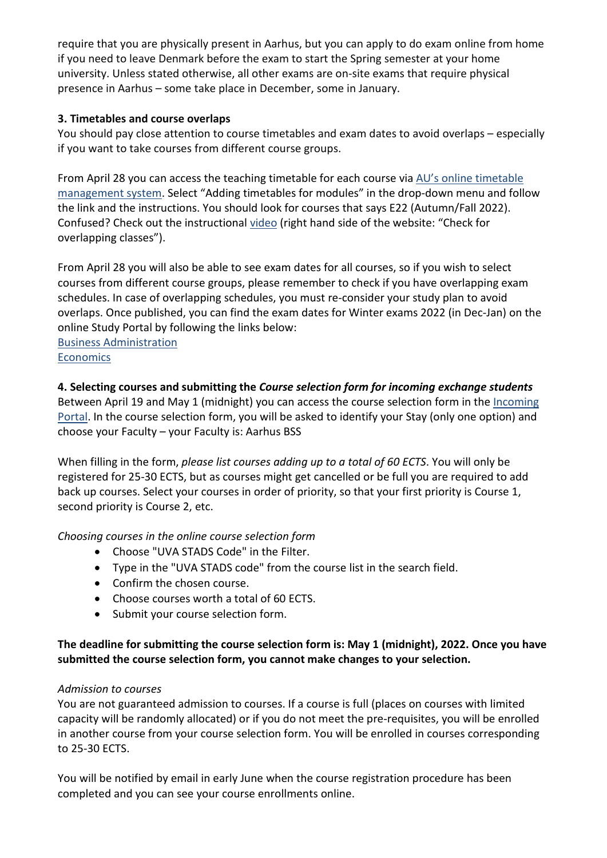require that you are physically present in Aarhus, but you can apply to do exam online from home if you need to leave Denmark before the exam to start the Spring semester at your home university. Unless stated otherwise, all other exams are on-site exams that require physical presence in Aarhus – some take place in December, some in January.

# **3. Timetables and course overlaps**

You should pay close attention to course timetables and exam dates to avoid overlaps – especially if you want to take courses from different course groups.

From April 28 you can access the teaching timetable for each course via [AU's online timetable](https://studerende.au.dk/en/it-support/timeplanner-timetableaudk/)  [management system.](https://studerende.au.dk/en/it-support/timeplanner-timetableaudk/) Select "Adding timetables for modules" in the drop-down menu and follow the link and the instructions. You should look for courses that says E22 (Autumn/Fall 2022). Confused? Check out the instructional [video](https://studerende.au.dk/en/studies/subject-portals/business-administration/teaching/timetables-business-administration) (right hand side of the website: "Check for overlapping classes").

From April 28 you will also be able to see exam dates for all courses, so if you wish to select courses from different course groups, please remember to check if you have overlapping exam schedules. In case of overlapping schedules, you must re-consider your study plan to avoid overlaps. Once published, you can find the exam dates for Winter exams 2022 (in Dec-Jan) on the online Study Portal by following the links below:

[Business Administration](https://studerende.au.dk/en/studies/subject-portals/business-administration/examination/exam-schedules/) **Economics** 

**4. Selecting courses and submitting the** *Course selection form for incoming exchange students*

Between April 19 and May 1 (midnight) you can access the course selection form in the [Incoming](https://au.moveon4.de/form/5d691a8b5c5ce77d2613b642/eng)  [Portal.](https://au.moveon4.de/form/5d691a8b5c5ce77d2613b642/eng) In the course selection form, you will be asked to identify your Stay (only one option) and choose your Faculty – your Faculty is: Aarhus BSS

When filling in the form, *please list courses adding up to a total of 60 ECTS*. You will only be registered for 25-30 ECTS, but as courses might get cancelled or be full you are required to add back up courses. Select your courses in order of priority, so that your first priority is Course 1, second priority is Course 2, etc.

## *Choosing courses in the online course selection form*

- Choose "UVA STADS Code" in the Filter.
- Type in the "UVA STADS code" from the course list in the search field.
- Confirm the chosen course.
- Choose courses worth a total of 60 ECTS.
- Submit your course selection form.

# **The deadline for submitting the course selection form is: May 1 (midnight), 2022. Once you have submitted the course selection form, you cannot make changes to your selection.**

## *Admission to courses*

You are not guaranteed admission to courses. If a course is full (places on courses with limited capacity will be randomly allocated) or if you do not meet the pre-requisites, you will be enrolled in another course from your course selection form. You will be enrolled in courses corresponding to 25-30 ECTS.

You will be notified by email in early June when the course registration procedure has been completed and you can see your course enrollments online.